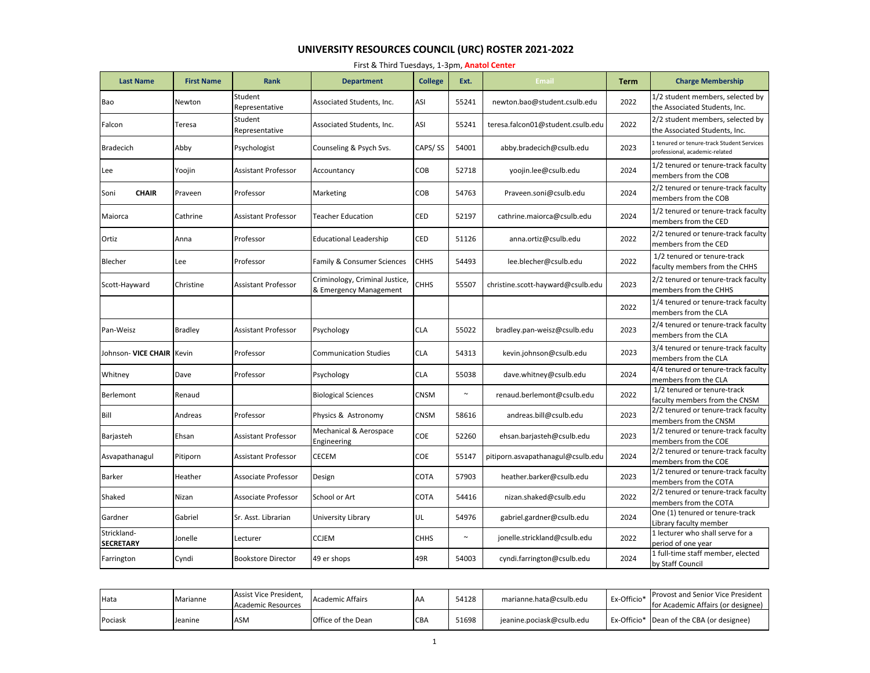## **UNIVERSITY RESOURCES COUNCIL (URC) ROSTER 2021-2022**

| First & Third Tuesdays, 1-3pm, Anatol Center |  |  |  |
|----------------------------------------------|--|--|--|
|----------------------------------------------|--|--|--|

| <b>Last Name</b>                | <b>First Name</b> | <b>Rank</b>                | <b>Department</b>                                        | <b>College</b> | Ext.                  | <b>Email</b>                      | <b>Term</b> | <b>Charge Membership</b>                                                     |
|---------------------------------|-------------------|----------------------------|----------------------------------------------------------|----------------|-----------------------|-----------------------------------|-------------|------------------------------------------------------------------------------|
| Bao                             | Newton            | Student<br>Representative  | Associated Students, Inc.                                | ASI            | 55241                 | newton.bao@student.csulb.edu      | 2022        | 1/2 student members, selected by<br>the Associated Students, Inc.            |
| Falcon                          | Teresa            | Student<br>Representative  | Associated Students, Inc.                                | ASI            | 55241                 | teresa.falcon01@student.csulb.edu | 2022        | 2/2 student members, selected by<br>the Associated Students, Inc.            |
| <b>Bradecich</b>                | Abby              | Psychologist               | Counseling & Psych Svs.                                  | CAPS/SS        | 54001                 | abby.bradecich@csulb.edu          | 2023        | L tenured or tenure-track Student Services<br>professional, academic-related |
| Lee                             | Yoojin            | <b>Assistant Professor</b> | Accountancy                                              | COB            | 52718                 | yoojin.lee@csulb.edu              | 2024        | 1/2 tenured or tenure-track faculty<br>members from the COB                  |
| <b>CHAIR</b><br>Soni            | Praveen           | Professor                  | Marketing                                                | COB            | 54763                 | Praveen.soni@csulb.edu            | 2024        | 2/2 tenured or tenure-track faculty<br>members from the COB                  |
| Maiorca                         | Cathrine          | <b>Assistant Professor</b> | Teacher Education                                        | CED            | 52197                 | cathrine.maiorca@csulb.edu        | 2024        | 1/2 tenured or tenure-track faculty<br>members from the CED                  |
| Ortiz                           | Anna              | Professor                  | <b>Educational Leadership</b>                            | CED            | 51126                 | anna.ortiz@csulb.edu              | 2022        | 2/2 tenured or tenure-track faculty<br>members from the CED                  |
| Blecher                         | Lee               | Professor                  | Family & Consumer Sciences                               | СННЅ           | 54493                 | lee.blecher@csulb.edu             | 2022        | 1/2 tenured or tenure-track<br>faculty members from the CHHS                 |
| Scott-Hayward                   | Christine         | <b>Assistant Professor</b> | Criminology, Criminal Justice,<br>& Emergency Management | СННЅ           | 55507                 | christine.scott-hayward@csulb.edu | 2023        | 2/2 tenured or tenure-track faculty<br>members from the CHHS                 |
|                                 |                   |                            |                                                          |                |                       |                                   | 2022        | 1/4 tenured or tenure-track faculty<br>members from the CLA                  |
| Pan-Weisz                       | <b>Bradley</b>    | <b>Assistant Professor</b> | Psychology                                               | <b>CLA</b>     | 55022                 | bradley.pan-weisz@csulb.edu       | 2023        | 2/4 tenured or tenure-track faculty<br>members from the CLA                  |
| Johnson- VICE CHAIR Kevin       |                   | Professor                  | <b>Communication Studies</b>                             | <b>CLA</b>     | 54313                 | kevin.johnson@csulb.edu           | 2023        | 3/4 tenured or tenure-track faculty<br>members from the CLA                  |
| Whitney                         | Dave              | Professor                  | Psychology                                               | <b>CLA</b>     | 55038                 | dave.whitney@csulb.edu            | 2024        | 4/4 tenured or tenure-track faculty<br>members from the CLA                  |
| Berlemont                       | Renaud            |                            | <b>Biological Sciences</b>                               | <b>CNSM</b>    | $\tilde{\phantom{a}}$ | renaud.berlemont@csulb.edu        | 2022        | 1/2 tenured or tenure-track<br>faculty members from the CNSM                 |
| Bill                            | Andreas           | Professor                  | Physics & Astronomy                                      | <b>CNSM</b>    | 58616                 | andreas.bill@csulb.edu            | 2023        | 2/2 tenured or tenure-track faculty<br>members from the CNSM                 |
| Barjasteh                       | Ehsan             | <b>Assistant Professor</b> | Mechanical & Aerospace<br>Engineering                    | COE            | 52260                 | ehsan.barjasteh@csulb.edu         | 2023        | 1/2 tenured or tenure-track faculty<br>members from the COE                  |
| Asvapathanagul                  | Pitiporn          | <b>Assistant Professor</b> | CECEM                                                    | COE            | 55147                 | pitiporn.asvapathanagul@csulb.edu | 2024        | 2/2 tenured or tenure-track faculty<br>members from the COE                  |
| <b>Barker</b>                   | Heather           | <b>Associate Professor</b> | Design                                                   | COTA           | 57903                 | heather.barker@csulb.edu          | 2023        | 1/2 tenured or tenure-track faculty<br>members from the COTA                 |
| Shaked                          | Nizan             | <b>Associate Professor</b> | School or Art                                            | <b>COTA</b>    | 54416                 | nizan.shaked@csulb.edu            | 2022        | 2/2 tenured or tenure-track faculty<br>members from the COTA                 |
| Gardner                         | Gabriel           | Sr. Asst. Librarian        | University Library                                       | UL             | 54976                 | gabriel.gardner@csulb.edu         | 2024        | One (1) tenured or tenure-track<br>Library faculty member                    |
| Strickland-<br><b>SECRETARY</b> | Jonelle           | Lecturer                   | <b>CCJEM</b>                                             | <b>CHHS</b>    | $\sim$                | jonelle.strickland@csulb.edu      | 2022        | 1 lecturer who shall serve for a<br>period of one year                       |
| Farrington                      | Cyndi             | <b>Bookstore Director</b>  | 49 er shops                                              | 49R            | 54003                 | cyndi.farrington@csulb.edu        | 2024        | 1 full-time staff member, elected<br>by Staff Council                        |

| Hata    | Marianne | Assist Vice President,<br>Academic Resources | <b>Academic Affairs</b> | <b>AA</b>  | 54128 | marianne.hata@csulb.edu   | Ex-Officio <sup>*</sup> | <b>Provost and Senior Vice President</b><br>for Academic Affairs (or designee) |
|---------|----------|----------------------------------------------|-------------------------|------------|-------|---------------------------|-------------------------|--------------------------------------------------------------------------------|
| Pociask | Jeanine  | ASM                                          | Office of the Dean      | <b>CBA</b> | 51698 | jeanine.pociask@csulb.edu |                         | Ex-Officio* Dean of the CBA (or designee)                                      |